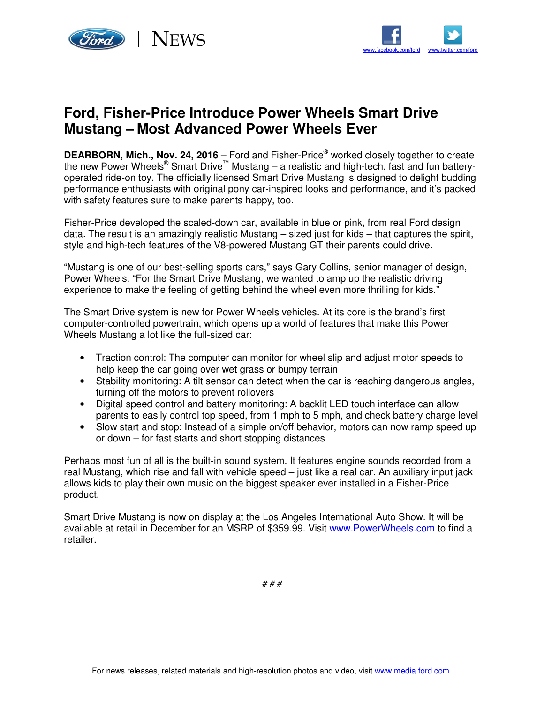



## **Ford, Fisher-Price Introduce Power Wheels Smart Drive Mustang – Most Advanced Power Wheels Ever**

**DEARBORN, Mich., Nov. 24, 2016** – Ford and Fisher-Price® worked closely together to create the new Power Wheels® Smart Drive™ Mustang – a realistic and high-tech, fast and fun batteryoperated ride-on toy. The officially licensed Smart Drive Mustang is designed to delight budding performance enthusiasts with original pony car-inspired looks and performance, and it's packed with safety features sure to make parents happy, too.

Fisher-Price developed the scaled-down car, available in blue or pink, from real Ford design data. The result is an amazingly realistic Mustang – sized just for kids – that captures the spirit, style and high-tech features of the V8-powered Mustang GT their parents could drive.

"Mustang is one of our best-selling sports cars," says Gary Collins, senior manager of design, Power Wheels. "For the Smart Drive Mustang, we wanted to amp up the realistic driving experience to make the feeling of getting behind the wheel even more thrilling for kids."

The Smart Drive system is new for Power Wheels vehicles. At its core is the brand's first computer-controlled powertrain, which opens up a world of features that make this Power Wheels Mustang a lot like the full-sized car:

- Traction control: The computer can monitor for wheel slip and adjust motor speeds to help keep the car going over wet grass or bumpy terrain
- Stability monitoring: A tilt sensor can detect when the car is reaching dangerous angles, turning off the motors to prevent rollovers
- Digital speed control and battery monitoring: A backlit LED touch interface can allow parents to easily control top speed, from 1 mph to 5 mph, and check battery charge level
- Slow start and stop: Instead of a simple on/off behavior, motors can now ramp speed up or down – for fast starts and short stopping distances

Perhaps most fun of all is the built-in sound system. It features engine sounds recorded from a real Mustang, which rise and fall with vehicle speed – just like a real car. An auxiliary input jack allows kids to play their own music on the biggest speaker ever installed in a Fisher-Price product.

Smart Drive Mustang is now on display at the Los Angeles International Auto Show. It will be available at retail in December for an MSRP of \$359.99. Visit www.PowerWheels.com to find a retailer.

# # #